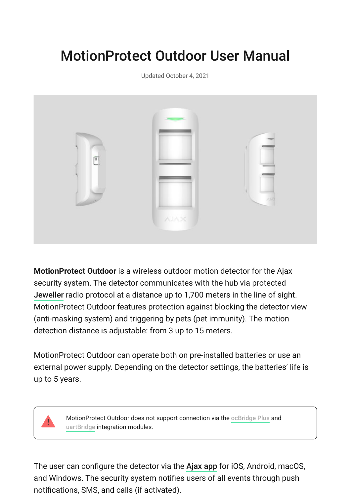# MotionProtect Outdoor User Manual

Updated October 4, 2021



**MotionProtect Outdoor** is a wireless outdoor motion detector for the Ajax security system. The detector communicates with the hub via protected [Jeweller](https://ajax.systems/jeweller/) radio protocol at a distance up to 1,700 meters in the line of sight. MotionProtect Outdoor features protection against blocking the detector view (anti-masking system) and triggering by pets (pet immunity). The motion detection distance is adjustable: from 3 up to 15 meters.

MotionProtect Outdoor can operate both on pre-installed batteries or use an external power supply. Depending on the detector settings, the batteries' life is up to 5 years.

> MotionProtectOutdoor does not support connection via the ocBridge Plus and [uartBridge](https://ajax.systems/products/uartbridge/) integration modules.

Theuser can configure the detector via the Ajax app for iOS, Android, macOS, and Windows. The security system notifies users of all events through push notifications, SMS, and calls (if activated).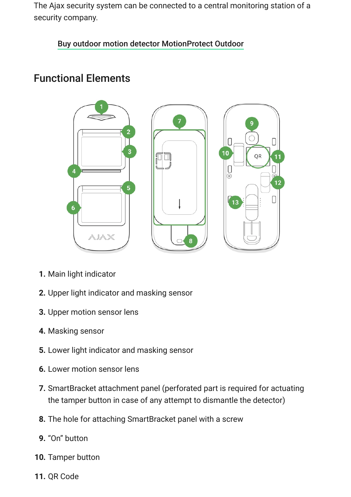The Ajax security system can be connected to a central monitoring station of a security company.

#### [Buy outdoor motion detector MotionProtect Outdoor](https://ajax.systems/products/motionprotect-outdoor/)

# Functional Elements



- **1.** Main light indicator
- **2.** Upper light indicator and masking sensor
- **3.** Upper motion sensor lens
- **4.** Masking sensor
- **5.** Lower light indicator and masking sensor
- **6.** Lower motion sensor lens
- **7.** SmartBracket attachment panel (perforated part is required for actuating the tamper button in case of any attempt to dismantle the detector)
- **8.** The hole for attaching SmartBracket panel with a screw
- **9.** "On" button
- **10.** Tamper button
- **11.** QR Code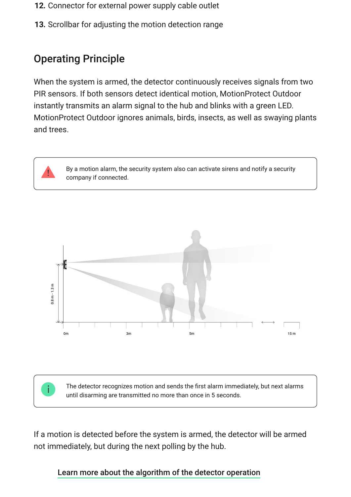- **12.** Connector for external power supply cable outlet
- **13.** Scrollbar for adjusting the motion detection range

# Operating Principle

When the system is armed, the detector continuously receives signals from two PIR sensors. If both sensors detect identical motion, MotionProtect Outdoor instantly transmits an alarm signal to the hub and blinks with a green LED. MotionProtect Outdoor ignores animals, birds, insects, as well as swaying plants and trees.

> By a motion alarm, the security system also can activate sirens and notify a security company if connected.



The detector recognizes motion and sends the first alarm immediately, but next alarms until disarming are transmitted no more than once in 5 seconds.

If a motion is detected before the system is armed, the detector will be armed not immediately, but during the next polling by the hub.

#### [Learn more about the algorithm of the detector operation](https://ajax.systems/products/motionprotect-outdoor/)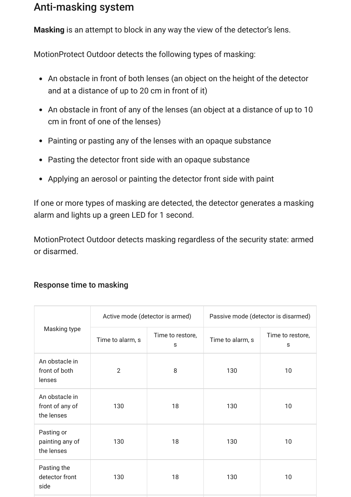# Anti-masking system

**Masking** is an attempt to block in any way the view of the detector's lens.

MotionProtect Outdoor detects the following types of masking:

- An obstacle in front of both lenses (an object on the height of the detector and at a distance of up to 20 cm in front of it)
- An obstacle in front of any of the lenses (an object at a distance of up to 10 cm in front of one of the lenses)
- Painting or pasting any of the lenses with an opaque substance
- Pasting the detector front side with an opaque substance
- Applying an aerosol or painting the detector front side with paint

If one or more types of masking are detected, the detector generates a masking alarm and lights up a green LED for 1 second.

MotionProtect Outdoor detects masking regardless of the security state: armed or disarmed.

|                                                 | Active mode (detector is armed) |                       | Passive mode (detector is disarmed) |                       |
|-------------------------------------------------|---------------------------------|-----------------------|-------------------------------------|-----------------------|
| Masking type                                    | Time to alarm, s                | Time to restore,<br>s | Time to alarm, s                    | Time to restore,<br>s |
| An obstacle in<br>front of both<br>lenses       | $\overline{2}$                  | 8                     | 130                                 | 10                    |
| An obstacle in<br>front of any of<br>the lenses | 130                             | 18                    | 130                                 | 10                    |
| Pasting or<br>painting any of<br>the lenses     | 130                             | 18                    | 130                                 | 10                    |
| Pasting the<br>detector front<br>side           | 130                             | 18                    | 130                                 | 10                    |

#### Response time to masking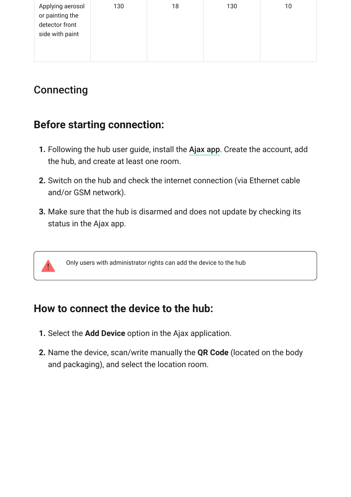| Applying aerosol<br>or painting the<br>detector front<br>side with paint | 130 | 18 | 130 | 10 |
|--------------------------------------------------------------------------|-----|----|-----|----|
|--------------------------------------------------------------------------|-----|----|-----|----|

# **Connecting**

# **Before starting connection:**

- **1.** Following the hub user guide, install the Ajax app. Create the account, add the hub, and create at least one room.
- **2.** Switch on the hub and check the internet connection (via Ethernet cable and/or GSM network).
- **3.** Make sure that the hub is disarmed and does not update by checking its status in the Ajax app.

Only users with administrator rights can add the device to the hub

## **How to connect the device to the hub:**

- **1.** Select the **Add Device** option in the Ajax application.
- **2.** Name the device, scan/write manually the **QR Code** (located on the body and packaging), and select the location room.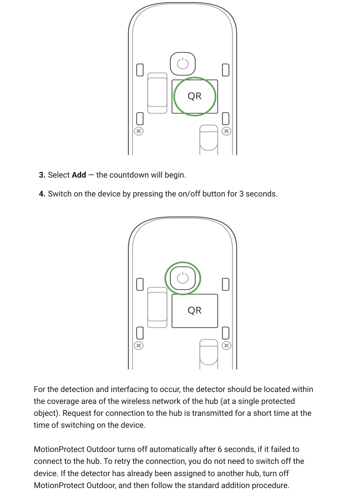

- **3.** Select **Add**  the countdown will begin.
- **4.** Switch on the device by pressing the on/off button for 3 seconds.



For the detection and interfacing to occur, the detector should be located within the coverage area of the wireless network of the hub (at a single protected object). Request for connection to the hub is transmitted for a short time at the time of switching on the device.

MotionProtect Outdoor turns off automatically after 6 seconds, if it failed to connect to the hub. To retry the connection, you do not need to switch off the device. If the detector has already been assigned to another hub, turn off MotionProtect Outdoor, and then follow the standard addition procedure.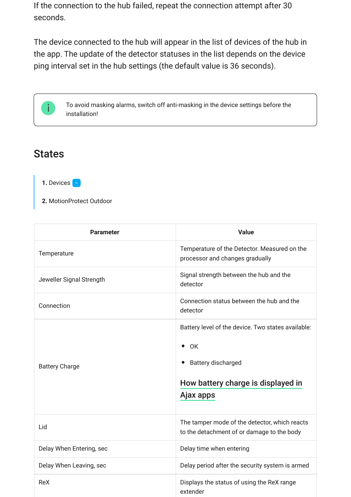If the connection to the hub failed, repeat the connection attempt after 30 seconds.

The device connected to the hub will appear in the list of devices of the hub in the app. The update of the detector statuses in the list depends on the device ping interval set in the hub settings (the default value is 36 seconds).

> To avoid masking alarms, switch off anti-masking in the device settings before the installation!

### **States**

1. Devices **-**

**2.** MotionProtect Outdoor

| <b>Parameter</b>         | <b>Value</b>                                                                                |
|--------------------------|---------------------------------------------------------------------------------------------|
| Temperature              | Temperature of the Detector. Measured on the<br>processor and changes gradually             |
| Jeweller Signal Strength | Signal strength between the hub and the<br>detector                                         |
| Connection               | Connection status between the hub and the<br>detector                                       |
|                          | Battery level of the device. Two states available:                                          |
|                          | $\bullet$ OK                                                                                |
| <b>Battery Charge</b>    | Battery discharged                                                                          |
|                          | How battery charge is displayed in                                                          |
|                          | Ajax apps                                                                                   |
| Lid                      | The tamper mode of the detector, which reacts<br>to the detachment of or damage to the body |
| Delay When Entering, sec | Delay time when entering                                                                    |
| Delay When Leaving, sec  | Delay period after the security system is armed                                             |
| ReX                      | Displays the status of using the ReX range<br>extender                                      |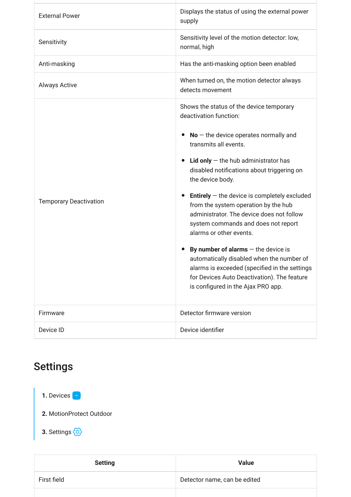| <b>External Power</b>         | Displays the status of using the external power<br>supply                                                                                                                                                                 |
|-------------------------------|---------------------------------------------------------------------------------------------------------------------------------------------------------------------------------------------------------------------------|
| Sensitivity                   | Sensitivity level of the motion detector: low,<br>normal, high                                                                                                                                                            |
| Anti-masking                  | Has the anti-masking option been enabled                                                                                                                                                                                  |
| <b>Always Active</b>          | When turned on, the motion detector always<br>detects movement                                                                                                                                                            |
|                               | Shows the status of the device temporary<br>deactivation function:                                                                                                                                                        |
|                               | $No$ – the device operates normally and<br>$\bullet$<br>transmits all events.                                                                                                                                             |
|                               | Lid only $-$ the hub administrator has<br>disabled notifications about triggering on<br>the device body.                                                                                                                  |
| <b>Temporary Deactivation</b> | <b>Entirely</b> $-$ the device is completely excluded<br>$\bullet$<br>from the system operation by the hub<br>administrator. The device does not follow<br>system commands and does not report<br>alarms or other events. |
|                               | By number of alarms $-$ the device is<br>automatically disabled when the number of<br>alarms is exceeded (specified in the settings<br>for Devices Auto Deactivation). The feature<br>is configured in the Ajax PRO app.  |
| Firmware                      | Detector firmware version                                                                                                                                                                                                 |
| Device ID                     | Device identifier                                                                                                                                                                                                         |

# Settings



| <b>Setting</b> | <b>Value</b>                 |
|----------------|------------------------------|
| First field    | Detector name, can be edited |
|                |                              |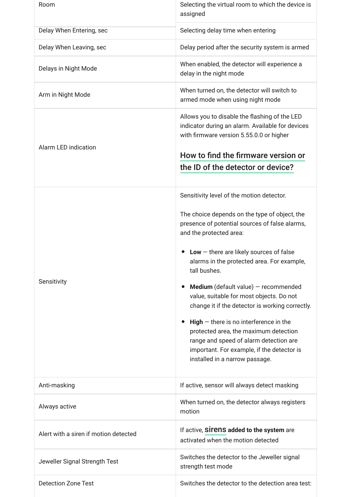| Room                                  | Selecting the virtual room to which the device is<br>assigned                                                                                                                                                                                                                                                                                                                                                                                                                                                                                                                                                                                     |
|---------------------------------------|---------------------------------------------------------------------------------------------------------------------------------------------------------------------------------------------------------------------------------------------------------------------------------------------------------------------------------------------------------------------------------------------------------------------------------------------------------------------------------------------------------------------------------------------------------------------------------------------------------------------------------------------------|
| Delay When Entering, sec              | Selecting delay time when entering                                                                                                                                                                                                                                                                                                                                                                                                                                                                                                                                                                                                                |
| Delay When Leaving, sec               | Delay period after the security system is armed                                                                                                                                                                                                                                                                                                                                                                                                                                                                                                                                                                                                   |
| Delays in Night Mode                  | When enabled, the detector will experience a<br>delay in the night mode                                                                                                                                                                                                                                                                                                                                                                                                                                                                                                                                                                           |
| Arm in Night Mode                     | When turned on, the detector will switch to<br>armed mode when using night mode                                                                                                                                                                                                                                                                                                                                                                                                                                                                                                                                                                   |
| <b>Alarm LED indication</b>           | Allows you to disable the flashing of the LED<br>indicator during an alarm. Available for devices<br>with firmware version 5.55.0.0 or higher<br>How to find the firmware version or<br>the ID of the detector or device?                                                                                                                                                                                                                                                                                                                                                                                                                         |
| Sensitivity                           | Sensitivity level of the motion detector.<br>The choice depends on the type of object, the<br>presence of potential sources of false alarms,<br>and the protected area:<br>$Low$ – there are likely sources of false<br>alarms in the protected area. For example,<br>tall bushes.<br><b>Medium</b> (default value) $-$ recommended<br>value, suitable for most objects. Do not<br>change it if the detector is working correctly.<br>$High$ – there is no interference in the<br>protected area, the maximum detection<br>range and speed of alarm detection are<br>important. For example, if the detector is<br>installed in a narrow passage. |
| Anti-masking                          | If active, sensor will always detect masking                                                                                                                                                                                                                                                                                                                                                                                                                                                                                                                                                                                                      |
| Always active                         | When turned on, the detector always registers<br>motion                                                                                                                                                                                                                                                                                                                                                                                                                                                                                                                                                                                           |
| Alert with a siren if motion detected | If active, Sirens added to the system are<br>activated when the motion detected                                                                                                                                                                                                                                                                                                                                                                                                                                                                                                                                                                   |
| Jeweller Signal Strength Test         | Switches the detector to the Jeweller signal<br>strength test mode                                                                                                                                                                                                                                                                                                                                                                                                                                                                                                                                                                                |
| <b>Detection Zone Test</b>            | Switches the detector to the detection area test:                                                                                                                                                                                                                                                                                                                                                                                                                                                                                                                                                                                                 |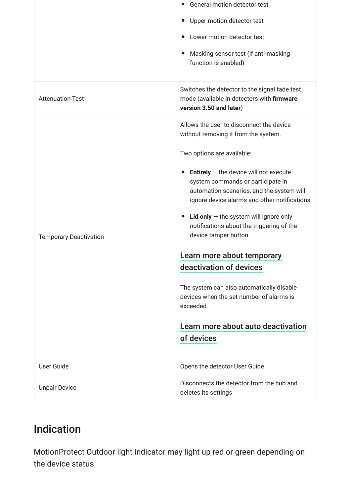|                               | General motion detector test                                                                                                                                                                   |
|-------------------------------|------------------------------------------------------------------------------------------------------------------------------------------------------------------------------------------------|
|                               | Upper motion detector test                                                                                                                                                                     |
|                               | Lower motion detector test                                                                                                                                                                     |
|                               | Masking sensor test (if anti-masking<br>$\bullet$<br>function is enabled)                                                                                                                      |
| <b>Attenuation Test</b>       | Switches the detector to the signal fade test<br>mode (available in detectors with firmware<br>version 3.50 and later)                                                                         |
|                               | Allows the user to disconnect the device<br>without removing it from the system.                                                                                                               |
|                               | Two options are available:                                                                                                                                                                     |
|                               | <b>Entirely</b> $-$ the device will not execute<br>$\bullet$<br>system commands or participate in<br>automation scenarios, and the system will<br>ignore device alarms and other notifications |
| <b>Temporary Deactivation</b> | <b>Lid only</b> $-$ the system will ignore only<br>$\bullet$<br>notifications about the triggering of the<br>device tamper button                                                              |
|                               | Learn more about temporary                                                                                                                                                                     |
|                               | deactivation of devices                                                                                                                                                                        |
|                               | The system can also automatically disable<br>devices when the set number of alarms is<br>exceeded.                                                                                             |
|                               | Learn more about auto deactivation                                                                                                                                                             |
|                               | of devices                                                                                                                                                                                     |
| <b>User Guide</b>             | Opens the detector User Guide                                                                                                                                                                  |
| <b>Unpair Device</b>          | Disconnects the detector from the hub and<br>deletes its settings                                                                                                                              |

# Indication

MotionProtect Outdoor light indicator may light up red or green depending on the device status.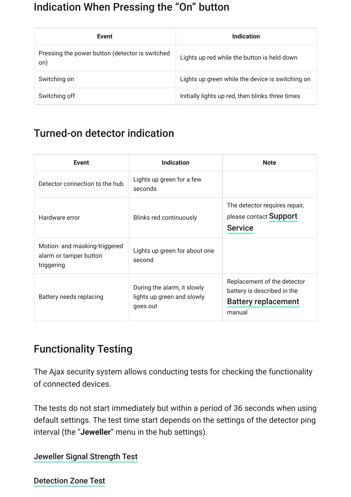### Indication When Pressing the "On" button

| <b>Event</b>                                           | Indication                                       |
|--------------------------------------------------------|--------------------------------------------------|
| Pressing the power button (detector is switched<br>on) | Lights up red while the button is held down      |
| Switching on                                           | Lights up green while the device is switching on |
| Switching off                                          | Initially lights up red, then blinks three times |

# Turned-on detector indication

| <b>Event</b>                                                          | <b>Indication</b>                                                     | <b>Note</b>                                                                                        |
|-----------------------------------------------------------------------|-----------------------------------------------------------------------|----------------------------------------------------------------------------------------------------|
| Detector connection to the hub                                        | Lights up green for a few<br>seconds                                  |                                                                                                    |
| Hardware error                                                        | Blinks red continuously                                               | The detector requires repair,<br>please contact Support<br><b>Service</b>                          |
| Motion- and masking-triggered<br>alarm or tamper button<br>triggering | Lights up green for about one<br>second                               |                                                                                                    |
| Battery needs replacing                                               | During the alarm, it slowly<br>lights up green and slowly<br>goes out | Replacement of the detector<br>battery is described in the<br><b>Battery replacement</b><br>manual |

# Functionality Testing

The Ajax security system allows conducting tests for checking the functionality of connected devices.

The tests do not start immediately but within a period of 36 seconds when using default settings. The test time start depends on the settings of the detector ping interval (the "**Jeweller**" menu in the hub settings).

[Jeweller Signal Strength Test](https://support.ajax.systems/en/what-is-signal-strenght-test/)

[Detection Zone Test](https://support.ajax.systems/en/what-is-detection-zone-test/)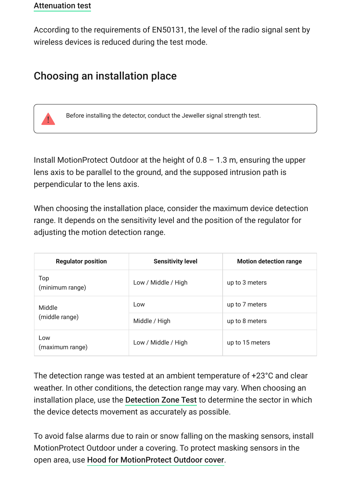#### [Attenuation test](https://support.ajax.systems/en/what-is-attenuation-test/)

According to the requirements of EN50131, the level of the radio signal sent by wireless devices is reduced during the test mode.

## Choosing an installation place

Before installing the detector, conduct the Jeweller signal strength test.

Install MotionProtect Outdoor at the height of  $0.8 - 1.3$  m, ensuring the upper lens axis to be parallel to the ground, and the supposed intrusion path is perpendicular to the lens axis.

When choosing the installation place, consider the maximum device detection range. It depends on the sensitivity level and the position of the regulator for adjusting the motion detection range.

| <b>Regulator position</b> | <b>Sensitivity level</b> | <b>Motion detection range</b> |
|---------------------------|--------------------------|-------------------------------|
| Top<br>(minimum range)    | Low / Middle / High      | up to 3 meters                |
| Middle<br>(middle range)  | Low                      | up to 7 meters                |
|                           | Middle / High            | up to 8 meters                |
| Low<br>(maximum range)    | Low / Middle / High      | up to 15 meters               |

The detection range was tested at an ambient temperature of +23°C and clear weather. In other conditions, the detection range may vary. When choosing an installationplace, use the Detection Zone Test to determine the sector in which the device detects movement as accurately as possible.

To avoid false alarms due to rain or snow falling on the masking sensors, install MotionProtect Outdoor under a covering. To protect masking sensors in the open area, use Hood for MotionProtect Outdoor cover.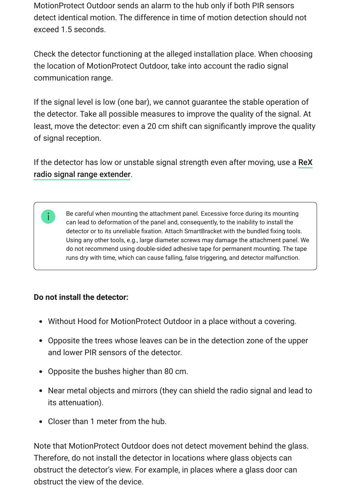MotionProtect Outdoor sends an alarm to the hub only if both PIR sensors detect identical motion. The difference in time of motion detection should not exceed 1.5 seconds.

Check the detector functioning at the alleged installation place. When choosing the location of MotionProtect Outdoor, take into account the radio signal communication range.

If the signal level is low (one bar), we cannot guarantee the stable operation of the detector. Take all possible measures to improve the quality of the signal. At least, move the detector: even a 20 cm shift can significantly improve the quality of signal reception.

[If the detector has low or unstable signal strength even after moving, use a](https://ajax.systems/products/rex/) ReX . radio signal range extender

Be careful when mounting the attachment panel. Excessive force during its mounting can lead to deformation of the panel and, consequently, to the inability to install the detector or to its unreliable fixation. Attach SmartBracket with the bundled fixing tools. Using any other tools, e.g., large diameter screws may damage the attachment panel. We do not recommend using double-sided adhesive tape for permanent mounting. The tape runs dry with time, which can cause falling, false triggering, and detector malfunction.

#### **Do not install the detector:**

- Without Hood for MotionProtect Outdoor in a place without a covering.
- Opposite the trees whose leaves can be in the detection zone of the upper and lower PIR sensors of the detector.
- Opposite the bushes higher than 80 cm.
- Near metal objects and mirrors (they can shield the radio signal and lead to its attenuation).
- Closer than 1 meter from the hub.

Note that MotionProtect Outdoor does not detect movement behind the glass. Therefore, do not install the detector in locations where glass objects can obstruct the detector's view. For example, in places where a glass door can obstruct the view of the device.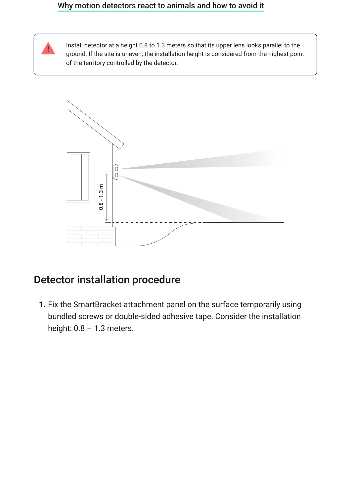#### [Why motion detectors react to animals and how to avoid it](https://ajax.systems/blog/what-is-pet-immunity-in-motion-detectors-and-how-to-use-it-correctly/)



Install detector at a height 0.8 to 1.3 meters so that its upper lens looks parallel to the ground. If the site is uneven, the installation height is considered from the highest point of the territory controlled by the detector.



### Detector installation procedure

**1.** Fix the SmartBracket attachment panel on the surface temporarily using bundled screws or double-sided adhesive tape. Consider the installation height:  $0.8 - 1.3$  meters.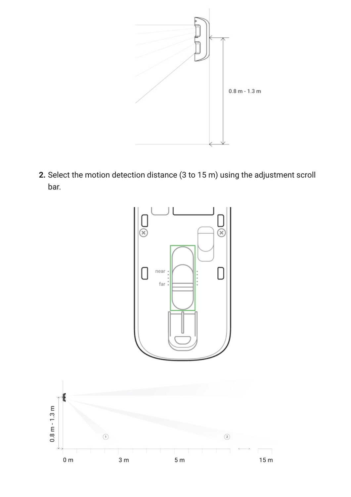

**2.** Select the motion detection distance (3 to 15 m) using the adjustment scroll bar.

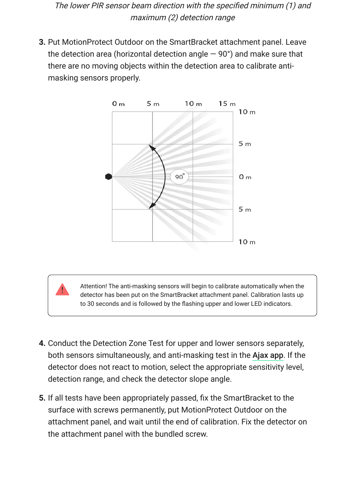The lower PIR sensor beam direction with the specified minimum (1) and maximum (2) detection range

**3.** Put MotionProtect Outdoor on the SmartBracket attachment panel. Leave the detection area (horizontal detection angle  $-$  90 $^{\circ}$ ) and make sure that there are no moving objects within the detection area to calibrate antimasking sensors properly.



Attention! The anti-masking sensors will begin to calibrate automatically when the detector has been put on the SmartBracket attachment panel. Calibration lasts up to 30 seconds and is followed by the flashing upper and lower LED indicators.

- **4.** Conduct the Detection Zone Test for upper and lower sensors separately, both sensors simultaneously, and anti-masking test in the Ajax app. If the detector does not react to motion, select the appropriate sensitivity level, detection range, and check the detector slope angle.
- **5.** If all tests have been appropriately passed, fix the SmartBracket to the surface with screws permanently, put MotionProtect Outdoor on the attachment panel, and wait until the end of calibration. Fix the detector on the attachment panel with the bundled screw.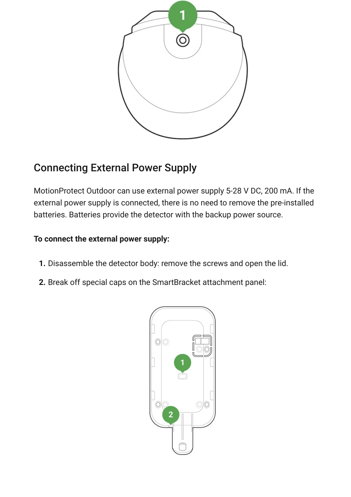

# Connecting External Power Supply

MotionProtect Outdoor can use external power supply 5-28 V DC, 200 mA. If the external power supply is connected, there is no need to remove the pre-installed batteries. Batteries provide the detector with the backup power source.

#### **To connect the external power supply:**

- **1.** Disassemble the detector body: remove the screws and open the lid.
- **2.** Break off special caps on the SmartBracket attachment panel:

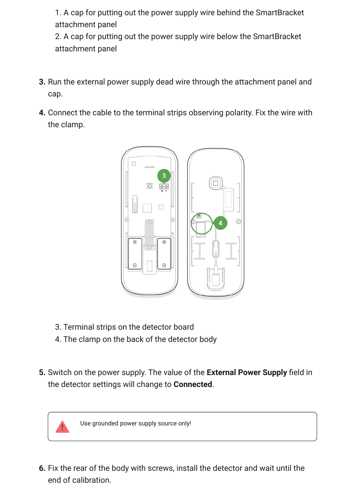1. A cap for putting out the power supply wire behind the SmartBracket attachment panel

2. A cap for putting out the power supply wire below the SmartBracket attachment panel

- **3.** Run the external power supply dead wire through the attachment panel and cap.
- **4.** Connect the cable to the terminal strips observing polarity. Fix the wire with the clamp.



- 3. Terminal strips on the detector board
- 4. The clamp on the back of the detector body
- **5.** Switch on the power supply. The value of the **External Power Supply** field in the detector settings will change to **Connected**.



Use grounded power supply source only!

**6.** Fix the rear of the body with screws, install the detector and wait until the end of calibration.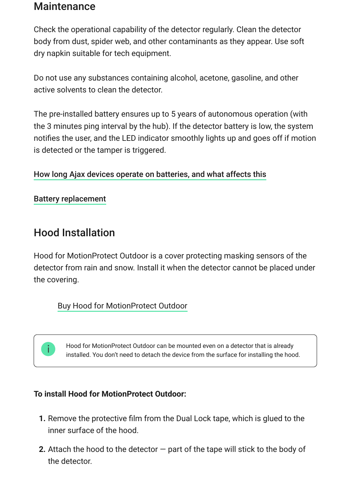### **Maintenance**

Check the operational capability of the detector regularly. Clean the detector body from dust, spider web, and other contaminants as they appear. Use soft dry napkin suitable for tech equipment.

Do not use any substances containing alcohol, acetone, gasoline, and other active solvents to clean the detector.

The pre-installed battery ensures up to 5 years of autonomous operation (with the 3 minutes ping interval by the hub). If the detector battery is low, the system notifies the user, and the LED indicator smoothly lights up and goes off if motion is detected or the tamper is triggered.

#### [How long Ajax devices operate on batteries, and what affects this](https://support.ajax.systems/en/how-long-operate-from-batteries/)

#### [Battery replacement](https://support.ajax.systems/en/how-to-replace-batteries-in-motionprotect-outdoor/)

### Hood Installation

Hood for MotionProtect Outdoor is a cover protecting masking sensors of the detector from rain and snow. Install it when the detector cannot be placed under the covering.

[Buy Hood for MotionProtect Outdoor](https://ajax.systems/products/mpo-hood/)

Hood for MotionProtect Outdoor can be mounted even on a detector that is already installed. You don't need to detach the device from the surface for installing the hood.

#### **To install Hood for MotionProtect Outdoor:**

- **1.** Remove the protective film from the Dual Lock tape, which is glued to the inner surface of the hood.
- **2.** Attach the hood to the detector part of the tape will stick to the body of the detector.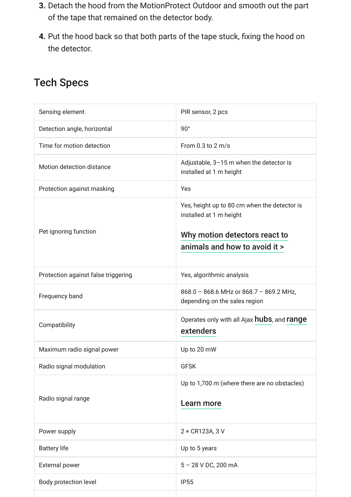- **3.** Detach the hood from the MotionProtect Outdoor and smooth out the part of the tape that remained on the detector body.
- **4.** Put the hood back so that both parts of the tape stuck, fixing the hood on the detector.

# Tech Specs

| Sensing element                     | PIR sensor, 2 pcs                                                                                                                         |
|-------------------------------------|-------------------------------------------------------------------------------------------------------------------------------------------|
| Detection angle, horizontal         | $90^{\circ}$                                                                                                                              |
| Time for motion detection           | From $0.3$ to $2$ m/s                                                                                                                     |
| Motion detection distance           | Adjustable, 3-15 m when the detector is<br>installed at 1 m height                                                                        |
| Protection against masking          | Yes                                                                                                                                       |
| Pet ignoring function               | Yes, height up to 80 cm when the detector is<br>installed at 1 m height<br>Why motion detectors react to<br>animals and how to avoid it > |
| Protection against false triggering | Yes, algorithmic analysis                                                                                                                 |
| Frequency band                      | 868.0 - 868.6 MHz or 868.7 - 869.2 MHz,<br>depending on the sales region                                                                  |
| Compatibility                       | Operates only with all Ajax hubs, and range<br>extenders                                                                                  |
| Maximum radio signal power          | Up to 20 mW                                                                                                                               |
| Radio signal modulation             | <b>GFSK</b>                                                                                                                               |
| Radio signal range                  | Up to 1,700 m (where there are no obstacles)<br>Learn more                                                                                |
| Power supply                        | 2 × CR123A, 3 V                                                                                                                           |
| <b>Battery life</b>                 | Up to 5 years                                                                                                                             |
| <b>External power</b>               | 5 - 28 V DC, 200 mA                                                                                                                       |
| Body protection level               | <b>IP55</b>                                                                                                                               |
|                                     |                                                                                                                                           |